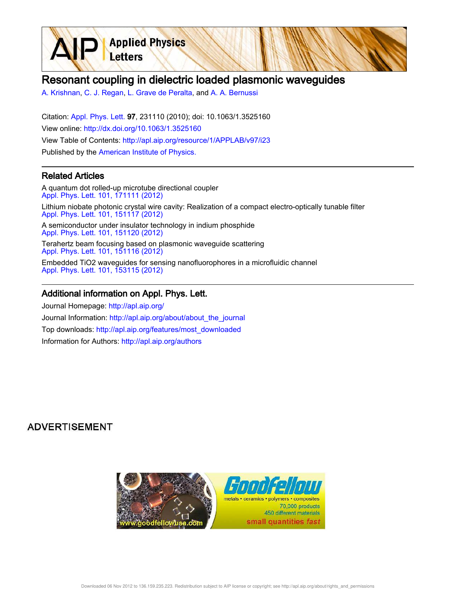

A. Krishnan, C. J. Regan, L. Grave de Peralta, and A. A. Bernussi

**Applied Physics** 

Letters

Citation: Appl. Phys. Lett. 97, 231110 (2010); doi: 10.1063/1.3525160 View online: http://dx.doi.org/10.1063/1.3525160 View Table of Contents: http://apl.aip.org/resource/1/APPLAB/v97/i23 Published by the American Institute of Physics.

### Related Articles

A quantum dot rolled-up microtube directional coupler Appl. Phys. Lett. 101, 171111 (2012) Lithium niobate photonic crystal wire cavity: Realization of a compact electro-optically tunable filter Appl. Phys. Lett. 101, 151117 (2012) A semiconductor under insulator technology in indium phosphide Appl. Phys. Lett. 101, 151120 (2012)

Terahertz beam focusing based on plasmonic waveguide scattering Appl. Phys. Lett. 101, 151116 (2012)

Embedded TiO2 waveguides for sensing nanofluorophores in a microfluidic channel Appl. Phys. Lett. 101, 153115 (2012)

#### Additional information on Appl. Phys. Lett.

Journal Homepage: http://apl.aip.org/ Journal Information: http://apl.aip.org/about/about\_the\_journal Top downloads: http://apl.aip.org/features/most\_downloaded Information for Authors: http://apl.aip.org/authors

# **ADVERTISEMENT**

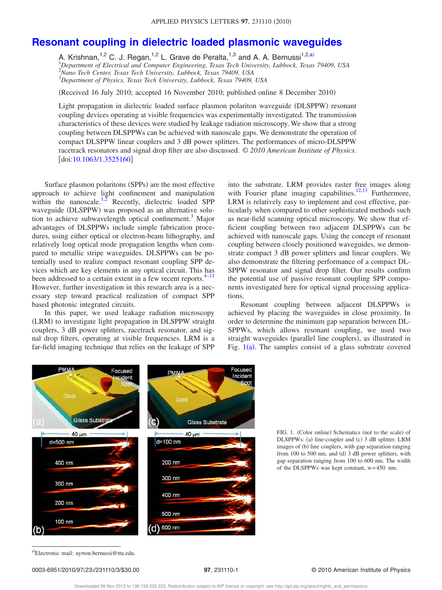# **Resonant coupling in dielectric loaded plasmonic waveguides**

A. Krishnan,<sup>1,2</sup> C. J. Regan,<sup>1,2</sup> L. Grave de Peralta,<sup>1,3</sup> and A. A. Bernussi<sup>1,2,a)</sup><br><sup>1</sup>Department of Electrical and Computer Engineering, Texas Tech University, Lubbock, Texas 79409, USA <sup>2</sup>*Nano Tech Center, Texas Tech University, Lubbock, Texas 79409, USA* <sup>3</sup>*Department of Physics, Texas Tech University, Lubbock, Texas 79409, USA*

(Received 16 July 2010; accepted 16 November 2010; published online 8 December 2010)

Light propagation in dielectric loaded surface plasmon polariton waveguide (DLSPPW) resonant coupling devices operating at visible frequencies was experimentally investigated. The transmission characteristics of these devices were studied by leakage radiation microscopy. We show that a strong coupling between DLSPPWs can be achieved with nanoscale gaps. We demonstrate the operation of compact DLSPPW linear couplers and 3 dB power splitters. The performances of micro-DLSPPW racetrack resonators and signal drop filter are also discussed. © *2010 American Institute of Physics*.  $\left[$ doi:10.1063/1.3525160]

Surface plasmon polaritons (SPPs) are the most effective approach to achieve light confinement and manipulation within the nanoscale.<sup>1,2</sup> Recently, dielectric loaded SPP waveguide (DLSPPW) was proposed as an alternative solution to achieve subwavelength optical confinement.<sup>3</sup> Major advantages of DLSPPWs include simple fabrication procedures, using either optical or electron-beam lithography, and relatively long optical mode propagation lengths when compared to metallic stripe waveguides. DLSPPWs can be potentially used to realize compact resonant coupling SPP devices which are key elements in any optical circuit. This has been addressed to a certain extent in a few recent reports.<sup>4–11</sup> However, further investigation in this research area is a necessary step toward practical realization of compact SPP based photonic integrated circuits.

In this paper, we used leakage radiation microscopy (LRM) to investigate light propagation in DLSPPW straight couplers, 3 dB power splitters, racetrack resonator, and signal drop filters, operating at visible frequencies. LRM is a far-field imaging technique that relies on the leakage of SPP

into the substrate. LRM provides raster free images along with Fourier plane imaging capabilities. $12,13$  Furthermore, LRM is relatively easy to implement and cost effective, particularly when compared to other sophisticated methods such as near-field scanning optical microscopy. We show that efficient coupling between two adjacent DLSPPWs can be achieved with nanoscale gaps. Using the concept of resonant coupling between closely positioned waveguides, we demonstrate compact 3 dB power splitters and linear couplers. We also demonstrate the filtering performance of a compact DL-SPPW resonator and signal drop filter. Our results confirm the potential use of passive resonant coupling SPP components investigated here for optical signal processing applications.

Resonant coupling between adjacent DLSPPWs is achieved by placing the waveguides in close proximity. In order to determine the minimum gap separation between DL-SPPWs, which allows resonant coupling, we used two straight waveguides (parallel line couplers), as illustrated in Fig.  $1(a)$ . The samples consist of a glass substrate covered



FIG. 1. (Color online) Schematics (not to the scale) of DLSPPWs: (a) line-coupler and (c) 3 dB splitter. LRM images of (b) line couplers, with gap separation ranging from  $100$  to  $500$  nm, and (d)  $3$  dB power splitters, with gap separation ranging from 100 to 600 nm. The width of the DLSPPWs was kept constant, w=450 nm.

a)Electronic mail: ayrton.bernussi@ttu.edu.

#### 0003-6951/2010/97(23)/231110/3/\$30.00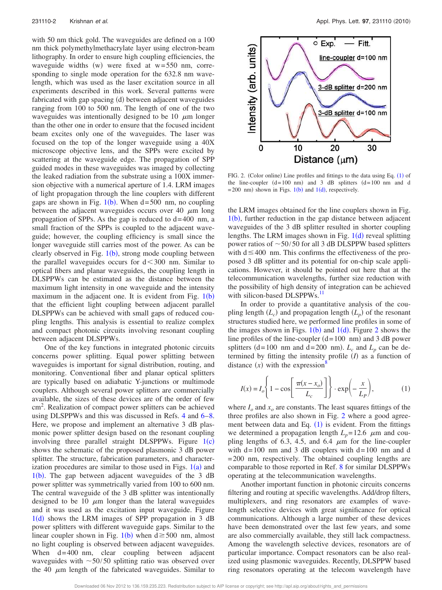with 50 nm thick gold. The waveguides are defined on a 100 nm thick polymethylmethacrylate layer using electron-beam lithography. In order to ensure high coupling efficiencies, the waveguide widths  $(w)$  were fixed at  $w=550$  nm, corresponding to single mode operation for the 632.8 nm wavelength, which was used as the laser excitation source in all experiments described in this work. Several patterns were fabricated with gap spacing (d) between adjacent waveguides ranging from 100 to 500 nm. The length of one of the two waveguides was intentionally designed to be 10  $\mu$ m longer than the other one in order to ensure that the focused incident beam excites only one of the waveguides. The laser was focused on the top of the longer waveguide using a 40X microscope objective lens, and the SPPs were excited by scattering at the waveguide edge. The propagation of SPP guided modes in these waveguides was imaged by collecting the leaked radiation from the substrate using a 100X immersion objective with a numerical aperture of 1.4. LRM images of light propagation through the line couplers with different gaps are shown in Fig.  $1(b)$ . When d=500 nm, no coupling between the adjacent waveguides occurs over 40  $\mu$ m long propagation of SPPs. As the gap is reduced to  $d=400$  nm, a small fraction of the SPPs is coupled to the adjacent waveguide; however, the coupling efficiency is small since the longer waveguide still carries most of the power. As can be clearly observed in Fig.  $1(b)$ , strong mode coupling between the parallel waveguides occurs for  $d < 300$  nm. Similar to optical fibers and planar waveguides, the coupling length in DLSPPWs can be estimated as the distance between the maximum light intensity in one waveguide and the intensity maximum in the adjacent one. It is evident from Fig.  $1(b)$ that the efficient light coupling between adjacent parallel DLSPPWs can be achieved with small gaps of reduced coupling lengths. This analysis is essential to realize complex and compact photonic circuits involving resonant coupling between adjacent DLSPPWs.

One of the key functions in integrated photonic circuits concerns power splitting. Equal power splitting between waveguides is important for signal distribution, routing, and monitoring. Conventional fiber and planar optical splitters are typically based on adiabatic Y-junctions or multimode couplers. Although several power splitters are commercially available, the sizes of these devices are of the order of few cm<sup>2</sup>. Realization of compact power splitters can be achieved using DLSPPWs and this was discussed in Refs. 4 and  $6-8$ . Here, we propose and implement an alternative 3 dB plasmonic power splitter design based on the resonant coupling involving three parallel straight DLSPPWs. Figure  $1(c)$ shows the schematic of the proposed plasmonic 3 dB power splitter. The structure, fabrication parameters, and characterization procedures are similar to those used in Figs.  $1(a)$  and  $1(b)$ . The gap between adjacent waveguides of the 3 dB power splitter was symmetrically varied from 100 to 600 nm. The central waveguide of the 3 dB splitter was intentionally designed to be 10  $\mu$ m longer than the lateral waveguides and it was used as the excitation input waveguide. Figure  $1(d)$  shows the LRM images of SPP propagation in 3 dB power splitters with different waveguide gaps. Similar to the linear coupler shown in Fig.  $1(b)$  when  $d \ge 500$  nm, almost no light coupling is observed between adjacent waveguides. When d=400 nm, clear coupling between adjacent waveguides with  $\sim$  50/50 splitting ratio was observed over the 40  $\mu$ m length of the fabricated waveguides. Similar to



FIG. 2. (Color online) Line profiles and fittings to the data using Eq.  $(1)$  of the line-coupler  $(d=100 \text{ nm})$  and 3 dB splitters  $(d=100 \text{ nm})$  and d  $= 200$  nm) shown in Figs. 1(b) and 1(d), respectively.

the LRM images obtained for the line couplers shown in Fig.  $1(b)$ , further reduction in the gap distance between adjacent waveguides of the 3 dB splitter resulted in shorter coupling lengths. The LRM images shown in Fig.  $1(d)$  reveal splitting power ratios of  $\sim$  50/50 for all 3 dB DLSPPW based splitters with  $d \leq 400$  nm. This confirms the effectiveness of the proposed 3 dB splitter and its potential for on-chip scale applications. However, it should be pointed out here that at the telecommunication wavelengths, further size reduction with the possibility of high density of integration can be achieved with silicon-based DLSPPWs.<sup>11</sup>

In order to provide a quantitative analysis of the coupling length  $(L_c)$  and propagation length  $(L_p)$  of the resonant structures studied here, we performed line profiles in some of the images shown in Figs.  $1(b)$  and  $1(d)$ . Figure 2 shows the line profiles of the line-coupler  $(d=100 \text{ nm})$  and 3 dB power splitters (d=100 nm and d=200 nm).  $L_c$  and  $L_p$  can be determined by fitting the intensity profile  $(I)$  as a function of distance  $(x)$  with the expression<sup>8</sup>

$$
I(x) = I_o \left\{ 1 - \cos \left[ \frac{\pi (x - x_o)}{L_c} \right] \right\} \cdot \exp \left( -\frac{x}{L_p} \right),\tag{1}
$$

where  $I$ <sup> $o$ </sup> and  $x$ <sup> $o$ </sup> are constants. The least squares fittings of the three profiles are also shown in Fig. 2 where a good agreement between data and Eq.  $(1)$  is evident. From the fittings we determined a propagation length  $L_p = 12.6$   $\mu$ m and coupling lengths of 6.3, 4.5, and 6.4  $\mu$ m for the line-coupler with  $d=100$  nm and 3 dB couplers with  $d=100$  nm and d =200 nm, respectively. The obtained coupling lengths are comparable to those reported in Ref. 8 for similar DLSPPWs operating at the telecommunication wavelengths.

Another important function in photonic circuits concerns filtering and routing at specific wavelengths. Add/drop filters, multiplexers, and ring resonators are examples of wavelength selective devices with great significance for optical communications. Although a large number of these devices have been demonstrated over the last few years, and some are also commercially available, they still lack compactness. Among the wavelength selective devices, resonators are of particular importance. Compact resonators can be also realized using plasmonic waveguides. Recently, DLSPPW based ring resonators operating at the telecom wavelength have